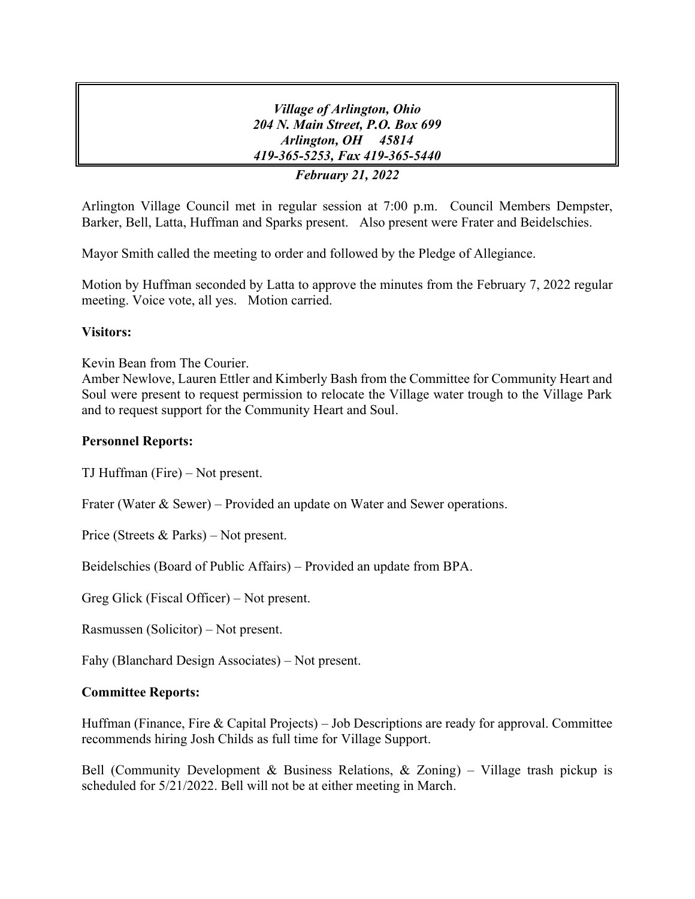*Village of Arlington, Ohio 204 N. Main Street, P.O. Box 699 Arlington, OH 45814 419-365-5253, Fax 419-365-5440 February 21, 2022*

Arlington Village Council met in regular session at 7:00 p.m. Council Members Dempster, Barker, Bell, Latta, Huffman and Sparks present. Also present were Frater and Beidelschies.

Mayor Smith called the meeting to order and followed by the Pledge of Allegiance.

Motion by Huffman seconded by Latta to approve the minutes from the February 7, 2022 regular meeting. Voice vote, all yes. Motion carried.

# **Visitors:**

Kevin Bean from The Courier.

Amber Newlove, Lauren Ettler and Kimberly Bash from the Committee for Community Heart and Soul were present to request permission to relocate the Village water trough to the Village Park and to request support for the Community Heart and Soul.

## **Personnel Reports:**

TJ Huffman (Fire) – Not present.

Frater (Water & Sewer) – Provided an update on Water and Sewer operations.

Price (Streets & Parks) – Not present.

Beidelschies (Board of Public Affairs) – Provided an update from BPA.

Greg Glick (Fiscal Officer) – Not present.

Rasmussen (Solicitor) – Not present.

Fahy (Blanchard Design Associates) – Not present.

# **Committee Reports:**

Huffman (Finance, Fire & Capital Projects) – Job Descriptions are ready for approval. Committee recommends hiring Josh Childs as full time for Village Support.

Bell (Community Development & Business Relations, & Zoning) – Village trash pickup is scheduled for 5/21/2022. Bell will not be at either meeting in March.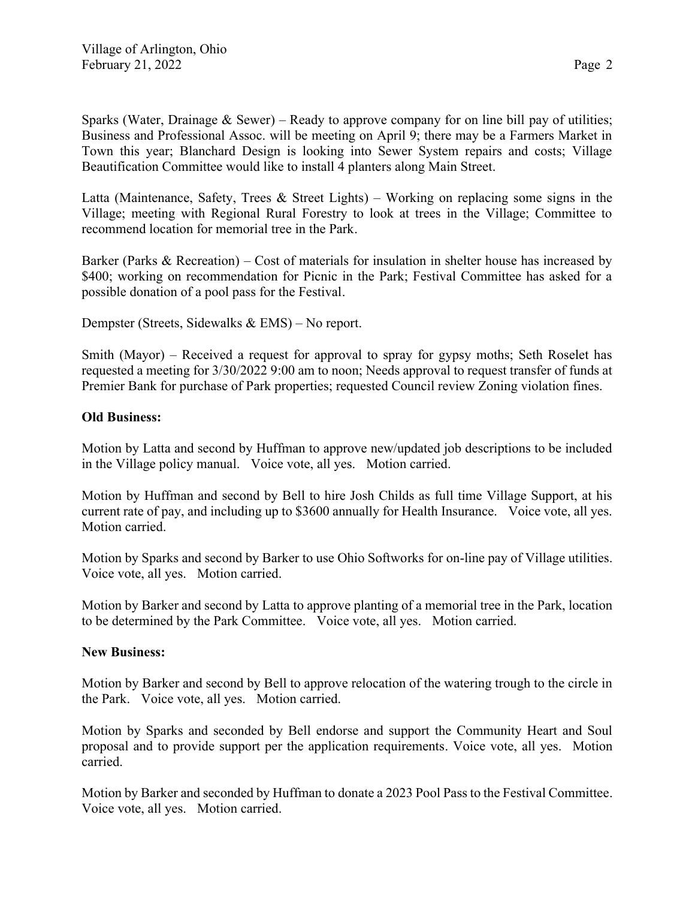Sparks (Water, Drainage  $&$  Sewer) – Ready to approve company for on line bill pay of utilities; Business and Professional Assoc. will be meeting on April 9; there may be a Farmers Market in Town this year; Blanchard Design is looking into Sewer System repairs and costs; Village Beautification Committee would like to install 4 planters along Main Street.

Latta (Maintenance, Safety, Trees & Street Lights) – Working on replacing some signs in the Village; meeting with Regional Rural Forestry to look at trees in the Village; Committee to recommend location for memorial tree in the Park.

Barker (Parks & Recreation) – Cost of materials for insulation in shelter house has increased by \$400; working on recommendation for Picnic in the Park; Festival Committee has asked for a possible donation of a pool pass for the Festival.

Dempster (Streets, Sidewalks & EMS) – No report.

Smith (Mayor) – Received a request for approval to spray for gypsy moths; Seth Roselet has requested a meeting for 3/30/2022 9:00 am to noon; Needs approval to request transfer of funds at Premier Bank for purchase of Park properties; requested Council review Zoning violation fines.

## **Old Business:**

Motion by Latta and second by Huffman to approve new/updated job descriptions to be included in the Village policy manual. Voice vote, all yes. Motion carried.

Motion by Huffman and second by Bell to hire Josh Childs as full time Village Support, at his current rate of pay, and including up to \$3600 annually for Health Insurance. Voice vote, all yes. Motion carried.

Motion by Sparks and second by Barker to use Ohio Softworks for on-line pay of Village utilities. Voice vote, all yes. Motion carried.

Motion by Barker and second by Latta to approve planting of a memorial tree in the Park, location to be determined by the Park Committee. Voice vote, all yes. Motion carried.

### **New Business:**

Motion by Barker and second by Bell to approve relocation of the watering trough to the circle in the Park. Voice vote, all yes. Motion carried.

Motion by Sparks and seconded by Bell endorse and support the Community Heart and Soul proposal and to provide support per the application requirements. Voice vote, all yes. Motion carried.

Motion by Barker and seconded by Huffman to donate a 2023 Pool Pass to the Festival Committee. Voice vote, all yes. Motion carried.